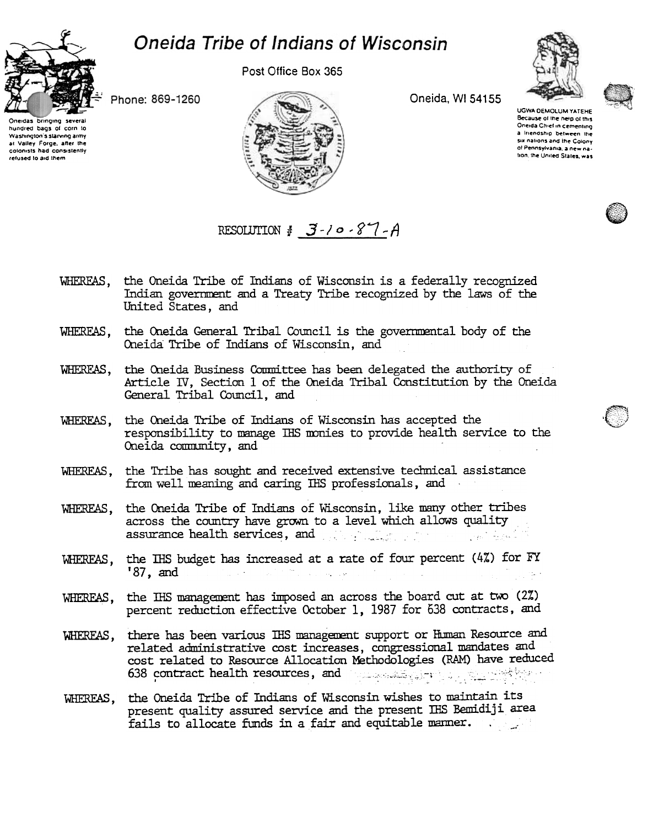## Oneida Tribe of Indians of Wisconsin



Post Office Box 365





Phone: 869-1260

bringing several hundred bags of corn to Washington's starving army at Valley Forge, after the colonists had consistently refused to aid them



Oneida, WI 54155

UGWA DEMOLUM YATEHE Because of the help of this Oneida Chief in cementing a Iriendship between the six nations and the Colony of Pennsylvania, a new nation, the United States, was

## RESOLUTION  $\frac{1}{2}$  -10 -87 -A

- the Oneida Tribe of Indians of Wisconsin is a federally recognized WHEREAS, Indian government and a Treaty Tribe recognized by the laws of the United States, and
- WHEREAS, the Oneida General Tribal Council is the governmental body of the Oneida Tribe of Indians of Wisconsin, and
- WHEREAS, the Oneida Business Committee has been delegated the authority of Article IV, Section 1 of the Oneida Tribal Constitution by the Oneida General Tribal Council, and
- WHEREAS, the Oneida Tribe of Indians of Wisconsin has accepted the responsibility to manage THS monies to provide health service to the Oneida community, and
- WHEREAS, the Tribe has sought and received extensive technical assistance from well meaning and caring IHS professionals, and
- WHEREAS, the Oneida Tribe of Indians of Wisconsin, like many other tribes across the country have grown to a level which allows quality assurance health services, and the service of the services of the services of the services of the services of
- WHEREAS, the IHS budget has increased at a rate of four percent (4%) for FY  $187$ , and ng Sila  $\mathcal{A}^{\text{max}}$  and  $\mathcal{A}^{\text{max}}$  and  $\mathcal{A}^{\text{max}}$
- the IHS management has imposed an across the board cut at two (2%) WHEREAS. percent reduction effective October 1, 1987 for 638 contracts, and
- there has been various IHS management support or Human Resource and WHEREAS, related administrative cost increases, congressional mandates and cost related to Resource Allocation Methodologies (RAM) have reduced 638 contract health resources, and the same of the set of the set of the set of the set of the set of the set of the set of the set of the set of the set of the set of the set of the set of the set of the set of the set of
- WHEREAS, the Oneida Tribe of Indians of Wisconsin wishes to maintain its present quality assured service and the present IHS Bemidiji area fails to allocate funds in a fair and equitable manner.